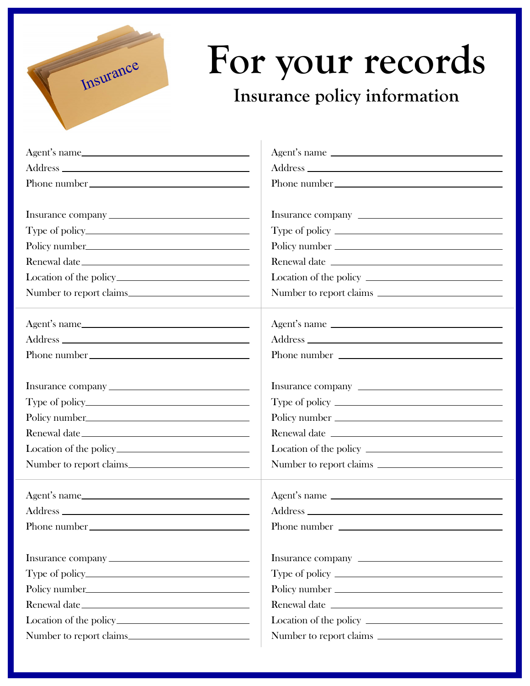

## **For your records** ISTERN TOT YOUR FECOR

| Agent's name                            | Agent's name            |
|-----------------------------------------|-------------------------|
|                                         |                         |
|                                         |                         |
|                                         |                         |
|                                         |                         |
|                                         |                         |
|                                         | Policy number           |
|                                         |                         |
|                                         |                         |
|                                         | Number to report claims |
|                                         |                         |
|                                         | Agent's name            |
|                                         |                         |
|                                         | Phone number            |
|                                         |                         |
|                                         |                         |
|                                         |                         |
|                                         | Policy number           |
|                                         |                         |
|                                         |                         |
|                                         |                         |
|                                         |                         |
| Agent's name                            | Agent's name            |
|                                         |                         |
|                                         |                         |
|                                         |                         |
|                                         |                         |
|                                         |                         |
|                                         |                         |
|                                         |                         |
| Location of the policy <u>contained</u> |                         |
| Number to report claims.                | Number to report claims |
|                                         |                         |